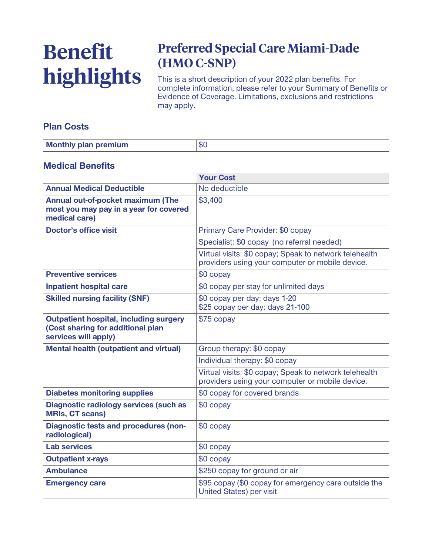# **Benefit highlights**

# **Preferred Special Care Miami-Dade (HMO C-SNP)**

**This is a short description of your 2022 plan benefits. For complete information, please refer to your Summary of Benefits or Evidence of Coverage. Limitations, exclusions and restrictions may apply.**

## **Plan Costs**

| <b>Monthly plan premium</b> | .02<br>ΦU |
|-----------------------------|-----------|

#### **Medical Benefits**

|                                                                                                            | <b>Your Cost</b>                                                                                          |
|------------------------------------------------------------------------------------------------------------|-----------------------------------------------------------------------------------------------------------|
| <b>Annual Medical Deductible</b>                                                                           | No deductible                                                                                             |
| Annual out-of-pocket maximum (The<br>most you may pay in a year for covered<br>medical care)               | \$3,400                                                                                                   |
| <b>Doctor's office visit</b>                                                                               | Primary Care Provider: \$0 copay                                                                          |
|                                                                                                            | Specialist: \$0 copay (no referral needed)                                                                |
|                                                                                                            | Virtual visits: \$0 copay; Speak to network telehealth<br>providers using your computer or mobile device. |
| <b>Preventive services</b>                                                                                 | \$0 copay                                                                                                 |
| <b>Inpatient hospital care</b>                                                                             | \$0 copay per stay for unlimited days                                                                     |
| <b>Skilled nursing facility (SNF)</b>                                                                      | \$0 copay per day: days 1-20<br>\$25 copay per day: days 21-100                                           |
| <b>Outpatient hospital, including surgery</b><br>(Cost sharing for additional plan<br>services will apply) | \$75 copay                                                                                                |
| <b>Mental health (outpatient and virtual)</b>                                                              | Group therapy: \$0 copay                                                                                  |
|                                                                                                            | Individual therapy: \$0 copay                                                                             |
|                                                                                                            | Virtual visits: \$0 copay; Speak to network telehealth<br>providers using your computer or mobile device. |
| <b>Diabetes monitoring supplies</b>                                                                        | \$0 copay for covered brands                                                                              |
| <b>Diagnostic radiology services (such as</b><br><b>MRIs, CT scans)</b>                                    | \$0 copay                                                                                                 |
| <b>Diagnostic tests and procedures (non-</b><br>radiological)                                              | \$0 copay                                                                                                 |
| <b>Lab services</b>                                                                                        | \$0 copay                                                                                                 |
| <b>Outpatient x-rays</b>                                                                                   | \$0 copay                                                                                                 |
| <b>Ambulance</b>                                                                                           | \$250 copay for ground or air                                                                             |
| <b>Emergency care</b>                                                                                      | \$95 copay (\$0 copay for emergency care outside the<br><b>United States) per visit</b>                   |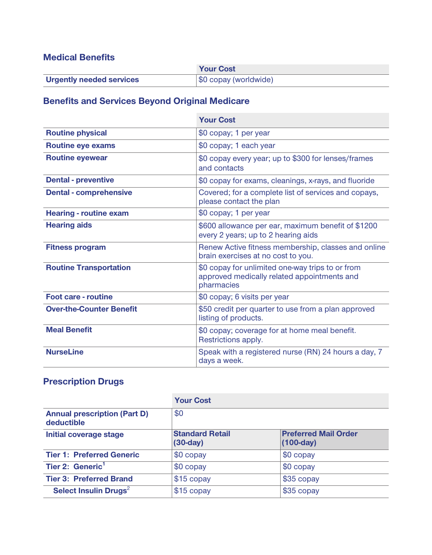## **Medical Benefits**

|                                 | <b>Your Cost</b>      |
|---------------------------------|-----------------------|
| <b>Urgently needed services</b> | \$0 copay (worldwide) |

# **Benefits and Services Beyond Original Medicare**

|                                 | <b>Your Cost</b>                                                                                              |
|---------------------------------|---------------------------------------------------------------------------------------------------------------|
| <b>Routine physical</b>         | \$0 copay; 1 per year                                                                                         |
| <b>Routine eye exams</b>        | \$0 copay; 1 each year                                                                                        |
| <b>Routine eyewear</b>          | \$0 copay every year; up to \$300 for lenses/frames<br>and contacts                                           |
| <b>Dental - preventive</b>      | \$0 copay for exams, cleanings, x-rays, and fluoride                                                          |
| <b>Dental - comprehensive</b>   | Covered; for a complete list of services and copays,<br>please contact the plan                               |
| <b>Hearing - routine exam</b>   | \$0 copay; 1 per year                                                                                         |
| <b>Hearing aids</b>             | \$600 allowance per ear, maximum benefit of \$1200<br>every 2 years; up to 2 hearing aids                     |
| <b>Fitness program</b>          | Renew Active fitness membership, classes and online<br>brain exercises at no cost to you.                     |
| <b>Routine Transportation</b>   | \$0 copay for unlimited one-way trips to or from<br>approved medically related appointments and<br>pharmacies |
| <b>Foot care - routine</b>      | \$0 copay; 6 visits per year                                                                                  |
| <b>Over-the-Counter Benefit</b> | \$50 credit per quarter to use from a plan approved<br>listing of products.                                   |
| <b>Meal Benefit</b>             | \$0 copay; coverage for at home meal benefit.<br>Restrictions apply.                                          |
| <b>NurseLine</b>                | Speak with a registered nurse (RN) 24 hours a day, 7<br>days a week.                                          |

# **Prescription Drugs**

|                                                   | <b>Your Cost</b>                     |                                            |
|---------------------------------------------------|--------------------------------------|--------------------------------------------|
| <b>Annual prescription (Part D)</b><br>deductible | \$0                                  |                                            |
| <b>Initial coverage stage</b>                     | <b>Standard Retail</b><br>$(30-day)$ | <b>Preferred Mail Order</b><br>$(100-day)$ |
| <b>Tier 1: Preferred Generic</b>                  | \$0 copay                            | \$0 copay                                  |
| Tier 2: Generic <sup>1</sup>                      | \$0 copay                            | \$0 copay                                  |
| <b>Tier 3: Preferred Brand</b>                    | \$15 copay                           | \$35 copay                                 |
| Select Insulin Drugs <sup>2</sup>                 | \$15 copay                           | \$35 copay                                 |